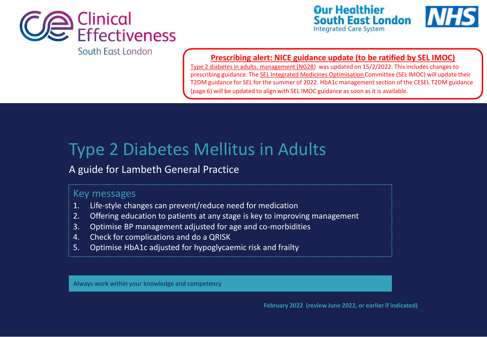

**Our Healthier South East London Integrated Care System** 



**[Prescribing alert: NICE guidance update \(to be ratified by SEL IMOC\)](https://www.nice.org.uk/guidance/ng28)**

[Type 2 diabetes in adults: management \(NG28\)](https://www.nice.org.uk/guidance/ng28) was updated on 15/2/2022. This includes changes to prescribing guidance. The [SEL Integrated Medicines Optimisation](https://selondonccg.nhs.uk/what-we-do/medicines-optimisation/south-east-london-integrated-medicines-optimisation-committee-sel-imoc/) Committee (SEL IMOC) will update their T2DM guidance for SEL for the summer of 2022. HbA1c management section of the CESEL T2DM guidance (page 6) will be updated to align with SEL IMOC guidance as soon as it is available.

# Type 2 Diabetes Mellitus in Adults

### A guide for Lambeth General Practice

### Key messages

- 1. Life-style changes can prevent/reduce need for medication
- 2. Offering education to patients at any stage is key to improving management
- 3. Optimise BP management adjusted for age and co-morbidities
- 4. Check for complications and do a QRISK
- 5. Optimise HbA1c adjusted for hypoglycaemic risk and frailty

Always work within your knowledge and competency

**February 2022 (review June 2022, or earlier if indicated)**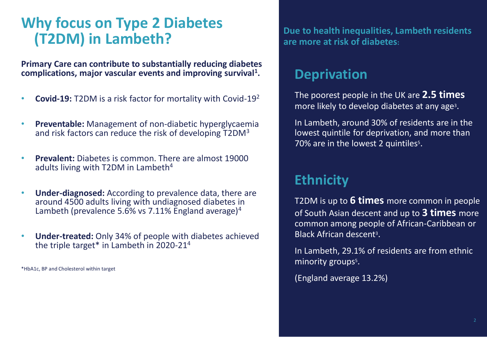## **Why focus on Type 2 Diabetes (T2DM) in Lambeth?**

**Primary Care can contribute to substantially reducing diabetes complications, major vascular events and improving survival<sup>1</sup> .**

- **Covid-19:** T2DM is a risk factor for mortality with Covid-19<sup>2</sup>
- **Preventable:** Management of non-diabetic hyperglycaemia and risk factors can reduce the risk of developing T2DM<sup>3</sup>
- **Prevalent:** Diabetes is common. There are almost 19000 adults living with T2DM in Lambeth<sup>4</sup>
- **Under-diagnosed:** According to prevalence data, there are around 4500 adults living with undiagnosed diabetes in Lambeth (prevalence 5.6% vs 7.11% England average)<sup>4</sup>
- **Under-treated:** Only 34% of people with diabetes achieved the triple target\* in Lambeth in 2020-21<sup>4</sup>

\*HbA1c, BP and Cholesterol within target

**Due to health inequalities, Lambeth residents are more at risk of diabetes:**

### **Deprivation**

The poorest people in the UK are **2.5 times**  more likely to develop diabetes at any age<sup>3</sup>.

In Lambeth, around 30% of residents are in the lowest quintile for deprivation, and more than 70% are in the lowest 2 quintiles<sup>5</sup>.

### **Ethnicity**

T2DM is up to **6 times** more common in people of South Asian descent and up to **3 times** more common among people of African-Caribbean or Black African descent<sup>3</sup>.

In Lambeth, 29.1% of residents are from ethnic minority groups<sup>5</sup>.

(England average 13.2%)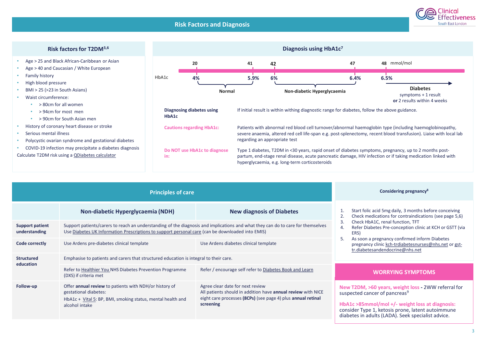#### **Risk Factors and Diagnosis**



#### **Risk factors for T2DM3,6**

- Age > 25 and Black African-Caribbean or Asian
- Age > 40 and Caucasian / White European
- Family history
- High blood pressure
- BMI > 25 (>23 in South Asians)
- Waist circumference:
	- > 80cm for all women
	- > 94cm for most men
	- > 90cm for South Asian men
- History of coronary heart disease or stroke
- Serious mental illness
- Polycystic ovarian syndrome and gestational diabetes
- COVID-19 infection may precipitate a diabetes diagnosis Calculate T2DM risk using a [QDiabetes calculator](https://qdiabetes.org/)



|                                  | <b>Principles of care</b>                                                                                                                                                                                                           | Considering pregnancy <sup>8</sup>                                                                                                                                            |                                                                                                                                                                                                                                                                |  |  |
|----------------------------------|-------------------------------------------------------------------------------------------------------------------------------------------------------------------------------------------------------------------------------------|-------------------------------------------------------------------------------------------------------------------------------------------------------------------------------|----------------------------------------------------------------------------------------------------------------------------------------------------------------------------------------------------------------------------------------------------------------|--|--|
|                                  | Non-diabetic Hyperglycaemia (NDH)                                                                                                                                                                                                   | Start folic acid 5mg daily, 3 months before conceiving<br>Check medications for contraindications (see page 5,6)<br>2.                                                        |                                                                                                                                                                                                                                                                |  |  |
| Support patient<br>understanding | Support patients/carers to reach an understanding of the diagnosis and implications and what they can do to care for themselves<br>Use Diabetes UK Information Prescriptions to support personal care (can be downloaded into EMIS) | Check HbA1C, renal function, TFT<br>3.<br>Refer Diabetes Pre-conception clinic at KCH or GSTT (via<br>4.<br>ERS)                                                              |                                                                                                                                                                                                                                                                |  |  |
| Code correctly                   | Use Ardens pre-diabetes clinical template                                                                                                                                                                                           | Use Ardens diabetes clinical template                                                                                                                                         | As soon a pregnancy confirmed inform Diabetes<br>5.<br>pregnancy clinic kch-trdiabetesnurses@nhs.net or gst-<br>tr.diabetesandendocrine@nhs.net                                                                                                                |  |  |
| <b>Structured</b>                | Emphasise to patients and carers that structured education is integral to their care.                                                                                                                                               |                                                                                                                                                                               |                                                                                                                                                                                                                                                                |  |  |
| education                        | Refer to Healthier You NHS Diabetes Prevention Programme<br>(DXS) if criteria met                                                                                                                                                   | Refer / encourage self refer to Diabetes Book and Learn                                                                                                                       | <b>WORRYING SYMPTOMS</b>                                                                                                                                                                                                                                       |  |  |
| Follow-up                        | Offer annual review to patients with NDH/or history of<br>gestational diabetes:<br>HbA1c + Vital 5: BP, BMI, smoking status, mental health and<br>alcohol intake                                                                    | Agree clear date for next review<br>All patients should in addition have annual review with NICE<br>eight care processes (8CPs) (see page 4) plus annual retinal<br>screening | New T2DM, >60 years, weight loss - 2WW referral for<br>suspected cancer of pancreas <sup>9</sup><br>HbA1c >85mmol/mol +/- weight loss at diagnosis:<br>consider Type 1, ketosis prone, latent autoimmune<br>diabetes in adults (LADA). Seek specialist advice. |  |  |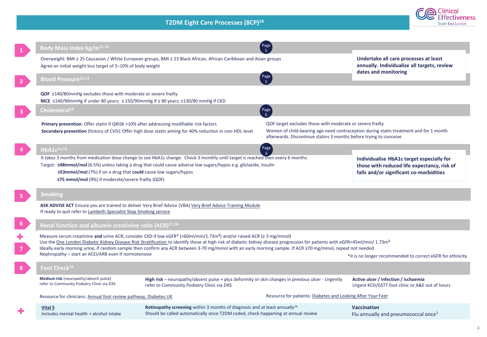

| Body Mass Index kg/m <sup>11,12</sup>                                                                                                                                             |                                                                                                                                                                                                                                                                                                                                                                                                                                                                                                    |                                                                                                                                 |                                                                                                                                     |
|-----------------------------------------------------------------------------------------------------------------------------------------------------------------------------------|----------------------------------------------------------------------------------------------------------------------------------------------------------------------------------------------------------------------------------------------------------------------------------------------------------------------------------------------------------------------------------------------------------------------------------------------------------------------------------------------------|---------------------------------------------------------------------------------------------------------------------------------|-------------------------------------------------------------------------------------------------------------------------------------|
| Overweight: BMI ≥ 25 Caucasian / White European groups, BMI ≥ 23 Black African, African Caribbean and Asian groups<br>Agree an initial weight loss target of 5-10% of body weight | Undertake all care processes at least<br>annually. Individualise all targets, review<br>dates and monitoring                                                                                                                                                                                                                                                                                                                                                                                       |                                                                                                                                 |                                                                                                                                     |
| <b>Blood Pressure</b> <sup>11,13</sup>                                                                                                                                            |                                                                                                                                                                                                                                                                                                                                                                                                                                                                                                    |                                                                                                                                 |                                                                                                                                     |
| <b>QOF</b> $\leq$ 140/80mmHg excludes those with moderate or severe frailty<br>NICE ≤140/90mmHg if under 80 years; ≤ 150/90mmHg if ≥ 80 years; ≤130/80 mmHg if CKD                |                                                                                                                                                                                                                                                                                                                                                                                                                                                                                                    |                                                                                                                                 |                                                                                                                                     |
| Cholesterol <sup>14</sup>                                                                                                                                                         |                                                                                                                                                                                                                                                                                                                                                                                                                                                                                                    | Page                                                                                                                            |                                                                                                                                     |
| Primary prevention: Offer statin if QRISK >10% after addressing modifiable risk factors                                                                                           | Secondary prevention (history of CVD): Offer high dose statin aiming for 40% reduction in non-HDL level                                                                                                                                                                                                                                                                                                                                                                                            | QOF target excludes those with moderate or severe frailty<br>afterwards. Discontinue statins 3 months before trying to conceive | Women of child-bearing age need contraception during statin treatment and for 1 month                                               |
| HbA1c <sup>14,15</sup>                                                                                                                                                            |                                                                                                                                                                                                                                                                                                                                                                                                                                                                                                    | Page                                                                                                                            |                                                                                                                                     |
| ≤53mmol/mol (7%) if on a drug that could cause low sugars/hypos<br>≤75 mmol/mol (9%) if moderate/severe frailty (QOF)                                                             | It takes 3 months from medication dose change to see HbA1c change. Check 3 monthly until target is reached then every 6 months<br>Target: <b>≤48mmol/mol</b> (6.5%) unless taking a drug that could cause adverse low sugars/hypos e.g. gliclazide, insulin                                                                                                                                                                                                                                        |                                                                                                                                 | Individualise HbA1c target especially for<br>those with reduced life expectancy, risk of<br>falls and/or significant co-morbidities |
| <b>Smoking</b>                                                                                                                                                                    |                                                                                                                                                                                                                                                                                                                                                                                                                                                                                                    |                                                                                                                                 |                                                                                                                                     |
| If ready to quit refer to Lambeth Specialist Stop Smoking service                                                                                                                 | ASK ADVISE ACT Ensure you are trained to deliver Very Brief Advice (VBA) Very Brief Advice Training Module                                                                                                                                                                                                                                                                                                                                                                                         |                                                                                                                                 |                                                                                                                                     |
| Renal function and albumin creatinine ratio (ACR) <sup>17,18</sup>                                                                                                                |                                                                                                                                                                                                                                                                                                                                                                                                                                                                                                    |                                                                                                                                 |                                                                                                                                     |
| Nephropathy - start an ACEI/ARB even if normotensive                                                                                                                              | Measure serum creatinine and urine ACR; consider CKD if low eGFR* (<60ml/min/1.73m <sup>2</sup> ) and/or raised ACR ( $\geq$ 3 mg/mmol)<br>Use the One London Diabetic Kidney Disease Risk Stratification to identify those at high risk of diabetic kidney disease progression for patients with eGFR<45ml/min/ 1.73m <sup>2</sup><br>Ideally early morning urine, if random sample then confirm any ACR between 3-70 mg/mmol with an early morning sample. If ACR ≥70 mg/mmol, repeat not needed |                                                                                                                                 |                                                                                                                                     |
|                                                                                                                                                                                   |                                                                                                                                                                                                                                                                                                                                                                                                                                                                                                    |                                                                                                                                 | *it is no longer recommended to correct eGFR for ethnicity                                                                          |
| Foot Check <sup>19</sup>                                                                                                                                                          |                                                                                                                                                                                                                                                                                                                                                                                                                                                                                                    |                                                                                                                                 |                                                                                                                                     |
| Medium risk (neuropathy/absent pulse)<br>refer to Community Podiatry Clinic via DXS                                                                                               | High risk – neuropathy/absent pulse + plus deformity or skin changes in previous ulcer - Urgently<br>refer to Community Podiatry Clinic via DXS                                                                                                                                                                                                                                                                                                                                                    |                                                                                                                                 | Active ulcer / infection / ischaemia<br>Urgent KCH/GSTT foot clinic or A&E out of hours                                             |
| Resource for clinicians: Annual foot review pathway, Diabetes UK                                                                                                                  |                                                                                                                                                                                                                                                                                                                                                                                                                                                                                                    | Resource for patients: Diabetes and Looking After Your Feet                                                                     |                                                                                                                                     |
|                                                                                                                                                                                   |                                                                                                                                                                                                                                                                                                                                                                                                                                                                                                    |                                                                                                                                 |                                                                                                                                     |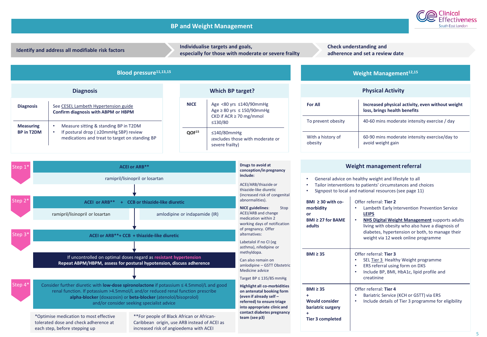|                                                                                                                                                                                                                                                                                                        |                                                                                      |                                    |                                 |                                                                                                               |                                                                                                                                                                                             |                                                                                                                                                          |                                                             |                                                                    | Clinical<br><b>Fffectiveness</b>                                                                                                                                   |  |
|--------------------------------------------------------------------------------------------------------------------------------------------------------------------------------------------------------------------------------------------------------------------------------------------------------|--------------------------------------------------------------------------------------|------------------------------------|---------------------------------|---------------------------------------------------------------------------------------------------------------|---------------------------------------------------------------------------------------------------------------------------------------------------------------------------------------------|----------------------------------------------------------------------------------------------------------------------------------------------------------|-------------------------------------------------------------|--------------------------------------------------------------------|--------------------------------------------------------------------------------------------------------------------------------------------------------------------|--|
|                                                                                                                                                                                                                                                                                                        |                                                                                      |                                    | <b>BP and Weight Management</b> |                                                                                                               |                                                                                                                                                                                             |                                                                                                                                                          |                                                             |                                                                    | South East London                                                                                                                                                  |  |
|                                                                                                                                                                                                                                                                                                        | Individualise targets and goals,<br>Identify and address all modifiable risk factors |                                    |                                 |                                                                                                               |                                                                                                                                                                                             | especially for those with moderate or severe frailty                                                                                                     |                                                             | <b>Check understanding and</b><br>adherence and set a review date  |                                                                                                                                                                    |  |
|                                                                                                                                                                                                                                                                                                        |                                                                                      | Blood pressure <sup>11,13,15</sup> |                                 |                                                                                                               |                                                                                                                                                                                             |                                                                                                                                                          |                                                             | <b>Weight Management</b> 12,15                                     |                                                                                                                                                                    |  |
|                                                                                                                                                                                                                                                                                                        | <b>Diagnosis</b>                                                                     |                                    |                                 |                                                                                                               | <b>Which BP target?</b>                                                                                                                                                                     |                                                                                                                                                          | <b>Physical Activity</b>                                    |                                                                    |                                                                                                                                                                    |  |
| See CESEL Lambeth Hypertension guide<br><b>Diagnosis</b><br>Confirm diagnosis with ABPM or HBPM                                                                                                                                                                                                        |                                                                                      |                                    |                                 | <b>NICE</b><br>Age <80 yrs ≤140/90mmHg<br>Age $\geq 80$ yrs $\leq 150/90$ mmHg<br>CKD if $ACR \ge 70$ mg/mmol |                                                                                                                                                                                             | For All                                                                                                                                                  | loss, brings health benefits                                | Increased physical activity, even without weight                   |                                                                                                                                                                    |  |
|                                                                                                                                                                                                                                                                                                        | Measure sitting & standing BP in T2DM<br><b>Measuring</b>                            |                                    |                                 |                                                                                                               | $\leq$ 130/80                                                                                                                                                                               |                                                                                                                                                          | To prevent obesity                                          | 40-60 mins moderate intensity exercise / day                       |                                                                                                                                                                    |  |
| <b>BP in T2DM</b><br>If postural drop (≥20mmHg SBP) review<br>medications and treat to target on standing BP                                                                                                                                                                                           |                                                                                      |                                    |                                 | QOF <sup>15</sup><br>≤140/80mmHg<br>severe frailty)                                                           |                                                                                                                                                                                             | (excludes those with moderate or                                                                                                                         | With a history of<br>obesity                                | 60-90 mins moderate intensity exercise/day to<br>avoid weight gain |                                                                                                                                                                    |  |
| Drugs to avoid at<br><b>ACEI or ARB**</b><br>Step 1<br>conception/in pregnancy<br>include:<br>ramipril/lisinopril or losartan<br>ACEI/ARB/thiazide or<br>thiazide-like diuretic                                                                                                                        |                                                                                      |                                    |                                 | Weight management referral                                                                                    |                                                                                                                                                                                             |                                                                                                                                                          |                                                             |                                                                    |                                                                                                                                                                    |  |
|                                                                                                                                                                                                                                                                                                        |                                                                                      |                                    |                                 |                                                                                                               | General advice on healthy weight and lifestyle to all<br>$\bullet$<br>Tailor interventions to patients' circumstances and choices<br>Signpost to local and national resources (see page 11) |                                                                                                                                                          |                                                             |                                                                    |                                                                                                                                                                    |  |
| Step 2                                                                                                                                                                                                                                                                                                 | ACEI or ARB**                                                                        | + CCB or thiazide-like diuretic    |                                 |                                                                                                               |                                                                                                                                                                                             | (increased risk of congenital<br>abnormalities).<br><b>NICE guidelines:</b>                                                                              | BMI $\geq$ 30 with co-<br>morbidity                         | Offer referral: Tier 2                                             |                                                                                                                                                                    |  |
|                                                                                                                                                                                                                                                                                                        | ramipril/lisinopril or losartan                                                      |                                    | amlodipine or indapamide (IR)   |                                                                                                               |                                                                                                                                                                                             | Stop<br>ACEI/ARB and change<br>medication within 2<br>working days of notification                                                                       |                                                             | <b>or</b><br>$BMI \geq 27$ for BAME<br>adults                      | Lambeth Early Intervention Prevention Service<br><b>LEIPS</b><br>NHS Digital Weight Management supports adults<br>living with obesity who also have a diagnosis of |  |
| Step 3 <sup>*</sup>                                                                                                                                                                                                                                                                                    | ACEI or ARB**+ CCB + thiazide-like diuretic                                          |                                    |                                 |                                                                                                               | of pregnancy. Offer<br>alternatives:<br>Labetalol if no CI (eg                                                                                                                              |                                                                                                                                                          | weight via 12 week online programme                         | diabetes, hypertension or both, to manage their                    |                                                                                                                                                                    |  |
|                                                                                                                                                                                                                                                                                                        |                                                                                      |                                    |                                 |                                                                                                               |                                                                                                                                                                                             | asthma), nifedipine or<br>methyldopa.                                                                                                                    | $BMI \geq 35$                                               | Offer referral: Tier 3                                             |                                                                                                                                                                    |  |
| If uncontrolled on optimal doses regard as resistant hypertension<br>Repeat ABPM/HBPM, assess for postural hypotension, discuss adherence                                                                                                                                                              |                                                                                      |                                    |                                 |                                                                                                               |                                                                                                                                                                                             | Can also remain on<br>amlodipine - GSTT Obstetric<br>Medicine advice<br>Target BP $\leq$ 135/85 mmHg                                                     | creatinine                                                  |                                                                    | SEL Tier 3 Healthy Weight programme<br>ERS referral using form on DXS<br>Include BP, BMI, HbA1c, lipid profile and                                                 |  |
| Step 4*<br>Consider further diuretic with low-dose spironolactone if potassium ≤ 4.5mmol/L and good<br>renal function. If potassium >4.5mmol/L and/or reduced renal function prescribe<br>alpha-blocker (doxazosin) or beta-blocker (atenolol/bisoprolol)<br>and/or consider seeking specialist advice |                                                                                      |                                    |                                 |                                                                                                               |                                                                                                                                                                                             | <b>Highlight all co-morbidities</b><br>on antenatal booking form<br>(even if already self -<br>referred) to ensure triage<br>into appropriate clinic and | $BMI \geq 35$<br><b>Would consider</b><br>bariatric surgery | Offer referral: Tier 4<br>Bariatric Service (KCH or GSTT) via ERS  | Include details of Tier 3 programme for eligibility                                                                                                                |  |
| *Optimise medication to most effective<br>**For people of Black African or African-<br>tolerated dose and check adherence at<br>Caribbean origin, use ARB instead of ACEI as<br>each step, before stepping up<br>increased risk of angioedema with ACEI                                                |                                                                                      |                                    |                                 |                                                                                                               |                                                                                                                                                                                             | contact diabetes pregnancy<br>team (see p3)                                                                                                              | $\ddotmark$<br><b>Tier 3 completed</b>                      |                                                                    |                                                                                                                                                                    |  |

 $\overline{\phantom{a}}$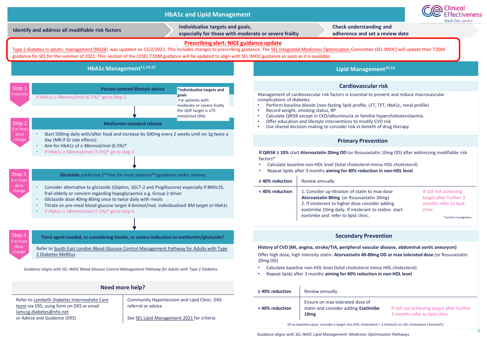

(If no baseline value: consider a target non-HDL cholesterol < 2.5mmol/L or LDL cholesterol <2mmol/L)

*Guidance aligns with SEL IMOC Lipid Management: Medicines Optimisation Pathways* 

6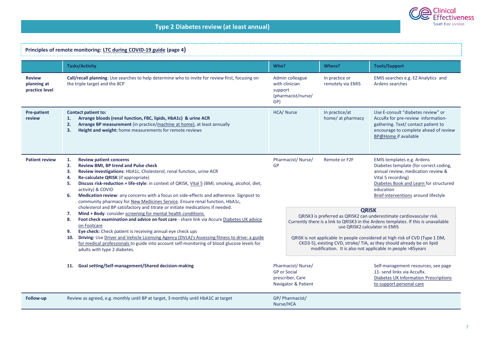### **Principles of remote monitoring: [LTC during COVID-19 guide](http://www.clinicaleffectivenesssouthwark.co.uk/wp-content/uploads/2020/11/LTC-management-during-COVID-19-and-beyond.-Version-1.8.pdf) (page 4)**

|                                                | <b>Tasks/Activity</b>                                                                                                                                                                                                                                                                                                                                                                                                                                                                                                                                                                                                                                                                                                                                                                                                                                                                                                                                                                                                                                                                                                                                                       | Who?                                                                                                                  | Where?                              | <b>Tools/Support</b>                                                                                                                                                                                                                                                                                                                                                                                                                                                                                                                                                                                                                                                                                                                                                                                                     |
|------------------------------------------------|-----------------------------------------------------------------------------------------------------------------------------------------------------------------------------------------------------------------------------------------------------------------------------------------------------------------------------------------------------------------------------------------------------------------------------------------------------------------------------------------------------------------------------------------------------------------------------------------------------------------------------------------------------------------------------------------------------------------------------------------------------------------------------------------------------------------------------------------------------------------------------------------------------------------------------------------------------------------------------------------------------------------------------------------------------------------------------------------------------------------------------------------------------------------------------|-----------------------------------------------------------------------------------------------------------------------|-------------------------------------|--------------------------------------------------------------------------------------------------------------------------------------------------------------------------------------------------------------------------------------------------------------------------------------------------------------------------------------------------------------------------------------------------------------------------------------------------------------------------------------------------------------------------------------------------------------------------------------------------------------------------------------------------------------------------------------------------------------------------------------------------------------------------------------------------------------------------|
| <b>Review</b><br>planning at<br>practice level | Call/recall planning: Use searches to help determine who to invite for review first, focusing on<br>the triple target and the 8CP                                                                                                                                                                                                                                                                                                                                                                                                                                                                                                                                                                                                                                                                                                                                                                                                                                                                                                                                                                                                                                           | Admin colleague<br>with clinician<br>support<br>(pharmacist/nurse/<br>GP)                                             | In practice or<br>remotely via EMIS | EMIS searches e.g. EZ Analytics and<br>Ardens searches                                                                                                                                                                                                                                                                                                                                                                                                                                                                                                                                                                                                                                                                                                                                                                   |
| Pre-patient<br>review                          | <b>Contact patient to:</b><br>Arrange bloods (renal function, FBC, lipids, HbA1c) & urine ACR<br>1.<br>Arrange BP measurement (in practice/machine at home), at least annually<br>2.<br>3.<br>Height and weight: home measurements for remote reviews                                                                                                                                                                                                                                                                                                                                                                                                                                                                                                                                                                                                                                                                                                                                                                                                                                                                                                                       | HCA/ Nurse                                                                                                            | In practice/at<br>home/ at pharmacy | Use E-consult "diabetes review" or<br>AccuRx for pre-review information-<br>gathering. Text/ contact patient to<br>encourage to complete ahead of review<br>BP@Home if available                                                                                                                                                                                                                                                                                                                                                                                                                                                                                                                                                                                                                                         |
| <b>Patient review</b>                          | <b>Review patient concerns</b><br>1.<br>Review BMI, BP trend and Pulse check<br>2.<br>Review investigations: HbA1c, Cholesterol, renal function, urine ACR<br>3.<br>Re-calculate QRISK (if appropriate)<br>4.<br>Discuss risk-reduction + life-style: in context of QRISK, Vital 5 (BMI, smoking, alcohol, diet,<br>5.<br>activity) & COVID<br>Medication review: any concerns with a focus on side-effects and adherence. Signpost to<br>6.<br>community pharmacy for New Medicines Service. Ensure renal function, HbA1c,<br>cholesterol and BP satisfactory and titrate or initiate medications if needed.<br>Mind + Body: consider screening for mental health conditions<br>7.<br>Foot check examination and advice on foot care - share link via Accurx Diabetes UK advice<br>8.<br>on Footcare<br>Eye check: Check patient is receiving annual eye check ups<br>9.<br>Driving: Use Driver and Vehicle Licensing Agency (DVLA)'s Assessing fitness to drive: a guide<br>10.<br>for medical professionals to guide into account self-monitoring of blood glucose levels for<br>adults with type 2 diabetes.<br>11. Goal setting/Self-management/Shared decision-making | Pharmacist/Nurse/<br><b>GP</b><br>Pharmacist/Nurse/<br><b>GP</b> or Social<br>prescriber, Care<br>Navigator & Patient | Remote or F2F                       | EMIS templates e.g. Ardens<br>Diabetes template (for correct coding,<br>annual review, medication review &<br>Vital 5 recording)<br>Diabetes Book and Learn for structured<br>education<br>Brief-interventions around lifestyle<br><b>ORISK</b><br>QRISK3 is preferred as QRISK2 can underestimate cardiovascular risk.<br>Currently there is a link to QRISK3 in the Ardens templates. If this is unavailable<br>use QRISK2 calculator in EMIS<br>QRISK is not applicable in people considered at high risk of CVD (Type 1 DM,<br>CKD3-5), existing CVD, stroke/ TIA, as they should already be on lipid<br>modification. It is also not applicable in people >85years<br>Self-management resources, see page<br>11- send links via AccuRx.<br><b>Diabetes UK Information Prescriptions</b><br>to support personal care |
| Follow-up                                      | Review as agreed, e.g. monthly until BP at target, 3 monthly until HbA1C at target                                                                                                                                                                                                                                                                                                                                                                                                                                                                                                                                                                                                                                                                                                                                                                                                                                                                                                                                                                                                                                                                                          | GP/ Pharmacist/<br>Nurse/HCA                                                                                          |                                     |                                                                                                                                                                                                                                                                                                                                                                                                                                                                                                                                                                                                                                                                                                                                                                                                                          |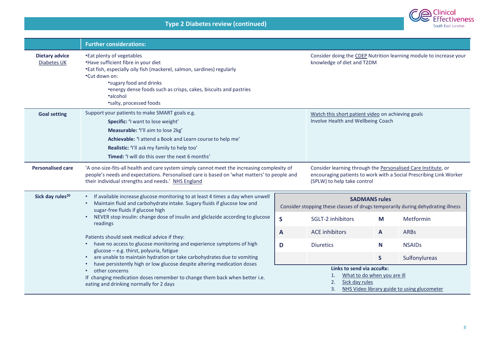**Type 2 Diabetes review (continued)**



|                               | <b>Further considerations:</b>                                                                                                                                                                                                                                                                                                                                                                                                                                                                                                                                                                                                                                                                                                                                                                                          |             |                                                                                                                                                                                                                                                                           |                         |                                                                                                           |
|-------------------------------|-------------------------------------------------------------------------------------------------------------------------------------------------------------------------------------------------------------------------------------------------------------------------------------------------------------------------------------------------------------------------------------------------------------------------------------------------------------------------------------------------------------------------------------------------------------------------------------------------------------------------------------------------------------------------------------------------------------------------------------------------------------------------------------------------------------------------|-------------|---------------------------------------------------------------------------------------------------------------------------------------------------------------------------------------------------------------------------------------------------------------------------|-------------------------|-----------------------------------------------------------------------------------------------------------|
| Dietary advice<br>Diabetes UK | Consider doing the CDEP Nutrition learning module to increase your<br>*Eat plenty of vegetables<br>*Have sufficient fibre in your diet<br>knowledge of diet and T2DM<br>*Eat fish, especially oily fish (mackerel, salmon, sardines) regularly<br>•Cut down on:<br>*sugary food and drinks<br>*energy dense foods such as crisps, cakes, biscuits and pastries<br>·alcohol<br>*salty, processed foods                                                                                                                                                                                                                                                                                                                                                                                                                   |             |                                                                                                                                                                                                                                                                           |                         |                                                                                                           |
| <b>Goal setting</b>           | Support your patients to make SMART goals e.g.<br>Watch this short patient video on achieving goals<br>Involve Health and Wellbeing Coach<br>Specific: 'I want to lose weight'<br>Measurable: 'I'll aim to lose 2kg'<br>Achievable: 'I attend a Book and Learn course to help me'<br>Realistic: 'I'll ask my family to help too'<br>Timed: 'I will do this over the next 6 months'                                                                                                                                                                                                                                                                                                                                                                                                                                      |             |                                                                                                                                                                                                                                                                           |                         |                                                                                                           |
| <b>Personalised care</b>      | 'A one-size-fits-all health and care system simply cannot meet the increasing complexity of<br>people's needs and expectations. Personalised care is based on 'what matters' to people and<br>their individual strengths and needs.' NHS England                                                                                                                                                                                                                                                                                                                                                                                                                                                                                                                                                                        |             | Consider learning through the Personalised Care Institute, or<br>encouraging patients to work with a Social Prescribing Link Worker<br>(SPLW) to help take control                                                                                                        |                         |                                                                                                           |
| Sick day rules <sup>20</sup>  | If available increase glucose monitoring to at least 4 times a day when unwell<br>Maintain fluid and carbohydrate intake. Sugary fluids if glucose low and<br>$\bullet$<br>sugar-free fluids if glucose high<br>NEVER stop insulin: change dose of insulin and gliclazide according to glucose<br>$\bullet$<br>readings<br>Patients should seek medical advice if they:<br>have no access to glucose monitoring and experience symptoms of high<br>$\bullet$<br>glucose - e.g. thirst, polyuria, fatigue<br>are unable to maintain hydration or take carbohydrates due to vomiting<br>$\bullet$ .<br>have persistently high or low glucose despite altering medication doses<br>other concerns<br>If changing medication doses remember to change them back when better i.e.<br>eating and drinking normally for 2 days | S<br>A<br>D | <b>SADMANS rules</b><br>Consider stopping these classes of drugs temporarily during dehydrating illness<br>SGLT-2 inhibitors<br><b>ACE</b> inhibitors<br><b>Diuretics</b><br>Links to send via accuRx:<br>What to do when you are ill<br>1.<br>2.<br>Sick day rules<br>3. | M<br>A<br>N<br><b>S</b> | Metformin<br><b>ARBs</b><br><b>NSAIDs</b><br>Sulfonylureas<br>NHS Video library guide to using glucometer |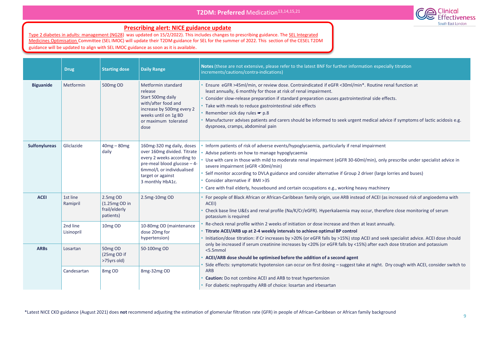#### **T2DM: Preferred Medication**<sup>13,14,15,21</sup>



#### **[Prescribing alert: NICE guidance update](https://www.nice.org.uk/guidance/ng28)**

[Type 2 diabetes in adults: management \(NG28\)](https://www.nice.org.uk/guidance/ng28) was updated on 15/2/2022). This includes changes to prescribing guidance. The SEL Integrated [Medicines Optimisation Committee \(SEL IMOC\) will update their T2DM guidance for SEL for the summer of 2022. This section of the CESEL T2D](https://selondonccg.nhs.uk/what-we-do/medicines-optimisation/south-east-london-integrated-medicines-optimisation-committee-sel-imoc/)M guidance will be updated to align with SEL IMOC guidance as soon as it is available.

|                      | <b>Drug</b>                                      | <b>Starting dose</b>                                    | <b>Daily Range</b>                                                                                                                                                                          | Notes (these are not extensive, please refer to the latest BNF for further information especially titration<br>increments/cautions/contra-indications)                                                                                                                                                                                                                                                                                                                                                                                                               |
|----------------------|--------------------------------------------------|---------------------------------------------------------|---------------------------------------------------------------------------------------------------------------------------------------------------------------------------------------------|----------------------------------------------------------------------------------------------------------------------------------------------------------------------------------------------------------------------------------------------------------------------------------------------------------------------------------------------------------------------------------------------------------------------------------------------------------------------------------------------------------------------------------------------------------------------|
| <b>Biguanide</b>     | Metformin                                        | 500mg OD                                                | Metformin standard<br>release<br>Start 500mg daily<br>with/after food and<br>increase by 500mg every 2<br>weeks until on 1g BD<br>or maximum tolerated<br>dose                              | Ensure eGFR >45ml/min, or review dose. Contraindicated if eGFR <30ml/min*. Routine renal function at<br>least annually, 6 monthly for those at risk of renal impairment.<br>Consider slow-release preparation if standard preparation causes gastrointestinal side effects.<br>Take with meals to reduce gastrointestinal side effects<br>Remember sick day rules $\blacktriangleright$ p.8<br>Manufacturer advises patients and carers should be informed to seek urgent medical advice if symptoms of lactic acidosis e.g.<br>dyspnoea, cramps, abdominal pain     |
| <b>Sulfonylureas</b> | Gliclazide                                       | $40mg - 80mg$<br>daily                                  | 160mg-320 mg daily, doses<br>over 160mg divided. Titrate<br>every 2 weeks according to<br>pre-meal blood glucose - 4-<br>6mmol/L or individualised<br>target or against<br>3 monthly HbA1c. | Inform patients of risk of adverse events/hypoglycaemia, particularly if renal impairment<br>Advise patients on how to manage hypoglycaemia<br>Use with care in those with mild to moderate renal impairment (eGFR 30-60ml/min), only prescribe under specialist advice in<br>severe impairment (eGFR <30ml/min)<br>Self monitor according to DVLA guidance and consider alternative if Group 2 driver (large lorries and buses)<br>• Consider alternative if BMI >35<br>• Care with frail elderly, housebound and certain occupations e.g., working heavy machinery |
| <b>ACEI</b>          | 1st line<br>Ramipril                             | 2.5mg OD<br>(1.25mg OD in<br>frail/elderly<br>patients) | 2.5mg-10mg OD                                                                                                                                                                               | For people of Black African or African-Caribbean family origin, use ARB instead of ACEI (as increased risk of angioedema with<br>ACEI)<br>Check base line U&Es and renal profile (Na/K/Cr/eGFR). Hyperkalaemia may occur, therefore close monitoring of serum<br>potassium is required                                                                                                                                                                                                                                                                               |
|                      | 2nd line<br>Lisinopril                           | 10mg OD                                                 | 10-80mg OD (maintenance<br>dose 20mg for<br>hypertension)                                                                                                                                   | Re-check renal profile within 2 weeks of initiation or dose increase and then at least annually.<br>Titrate ACEI/ARB up at 2-4 weekly intervals to achieve optimal BP control<br>Initiation/dose titration: if Cr increases by >20% (or eGFR falls by >15%) stop ACEI and seek specialist advice. ACEI dose should                                                                                                                                                                                                                                                   |
| <b>ARBs</b>          | Losartan                                         | 50mg OD<br>(25mg OD if<br>>75yrs old)                   | 50-100mg OD                                                                                                                                                                                 | only be increased if serum creatinine increases by <20% (or eGFR falls by <15%) after each dose titration and potassium<br><5.5mmol<br>ACEI/ARB dose should be optimised before the addition of a second agent<br>Side effects: symptomatic hypotension can occur on first dosing – suggest take at night. Dry cough with ACEI, consider switch to                                                                                                                                                                                                                   |
|                      | 8 <sub>mg</sub> OD<br>8mg-32mg OD<br>Candesartan |                                                         | <b>ARB</b><br>Caution: Do not combine ACEI and ARB to treat hypertension<br>For diabetic nephropathy ARB of choice: losartan and irbesartan                                                 |                                                                                                                                                                                                                                                                                                                                                                                                                                                                                                                                                                      |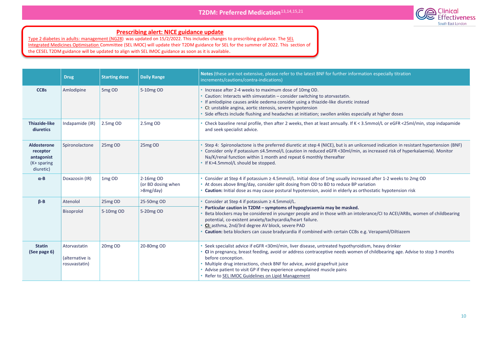

#### **[Prescribing alert: NICE guidance update](https://www.nice.org.uk/guidance/ng28)**

[Type 2 diabetes in adults: management \(NG28\)](https://www.nice.org.uk/guidance/ng28) was updated on 15/2/2022. This includes changes to prescribing guidance. The SEL [Integrated Medicines Optimisation Committee \(SEL IMOC\) will update their T2DM guidance for SEL for the summer of 2022. This se](https://selondonccg.nhs.uk/what-we-do/medicines-optimisation/south-east-london-integrated-medicines-optimisation-committee-sel-imoc/)ction of the CESEL T2DM guidance will be updated to align with SEL IMOC guidance as soon as it is available.

|                                                                            | <b>Drug</b>                                      | <b>Starting dose</b>           | <b>Daily Range</b>                           | Notes (these are not extensive, please refer to the latest BNF for further information especially titration<br>increments/cautions/contra-indications)                                                                                                                                                                                                                                                                                                               |
|----------------------------------------------------------------------------|--------------------------------------------------|--------------------------------|----------------------------------------------|----------------------------------------------------------------------------------------------------------------------------------------------------------------------------------------------------------------------------------------------------------------------------------------------------------------------------------------------------------------------------------------------------------------------------------------------------------------------|
| <b>CCBs</b>                                                                | Amlodipine                                       | 5 <sub>mg</sub> OD             | 5-10mg OD                                    | . Increase after 2-4 weeks to maximum dose of 10mg OD.<br>Caution: Interacts with simvastatin - consider switching to atorvastatin.<br>If amlodipine causes ankle oedema consider using a thiazide-like diuretic instead<br>CI: unstable angina, aortic stenosis, severe hypotension<br>Side effects include flushing and headaches at initiation; swollen ankles especially at higher doses                                                                         |
| <b>Thiazide-like</b><br>diuretics                                          | Indapamide (IR)                                  | 2.5mg OD                       | 2.5mg OD                                     | • Check baseline renal profile, then after 2 weeks, then at least annually. If K < 3.5mmol/L or eGFR <25ml/min, stop indapamide<br>and seek specialist advice.                                                                                                                                                                                                                                                                                                       |
| <b>Aldosterone</b><br>receptor<br>antagonist<br>$(K+$ sparing<br>diuretic) | Spironolactone                                   | 25mg OD                        | 25mg OD                                      | Step 4: Spironolactone is the preferred diuretic at step 4 (NICE), but is an unlicensed indication in resistant hypertension (BNF)<br>Consider only if potassium <4.5mmol/L (caution in reduced eGFR <30ml/min, as increased risk of hyperkalaemia). Monitor<br>Na/K/renal function within 1 month and repeat 6 monthly thereafter<br>If K>4.5mmol/L should be stopped.                                                                                              |
| $\alpha$ -B                                                                | Doxazosin (IR)                                   | 1 <sub>mg</sub> O <sub>D</sub> | 2-16mg OD<br>(or BD dosing when<br>>8mg/day) | • Consider at Step 4 if potassium $\geq 4.5$ mmol/L. Initial dose of 1mg usually increased after 1-2 weeks to 2mg OD<br>• At doses above 8mg/day, consider split dosing from OD to BD to reduce BP variation<br>Caution: Initial dose as may cause postural hypotension, avoid in elderly as orthostatic hypotension risk                                                                                                                                            |
| $\beta - B$                                                                | Atenolol                                         | 25mg OD                        | 25-50mg OD                                   | Consider at Step 4 if potassium ≥ 4.5mmol/L.                                                                                                                                                                                                                                                                                                                                                                                                                         |
|                                                                            | Bisoprolol                                       | 5-10mg OD                      | 5-20mg OD                                    | Particular caution in T2DM - symptoms of hypoglycaemia may be masked.<br>Beta blockers may be considered in younger people and in those with an intolerance/CI to ACEI/ARBs, women of childbearing<br>potential, co-existent anxiety/tachycardia/heart failure.<br>CI: asthma, 2nd/3rd degree AV block, severe PAD<br>Caution: beta blockers can cause bradycardia if combined with certain CCBs e.g. Verapamil/Diltiazem                                            |
| <b>Statin</b><br>(See page 6)                                              | Atorvastatin<br>(alternative is<br>rosuvastatin) | 20 <sub>mg</sub> OD            | 20-80mg OD                                   | Seek specialist advice if eGFR <30ml/min, liver disease, untreated hypothyroidism, heavy drinker<br>• CI in pregnancy, breast feeding, avoid or address contraceptive needs women of childbearing age. Advise to stop 3 months<br>before conception.<br>. Multiple drug interactions, check BNF for advice, avoid grapefruit juice<br>• Advise patient to visit GP if they experience unexplained muscle pains<br>• Refer to SEL IMOC Guidelines on Lipid Management |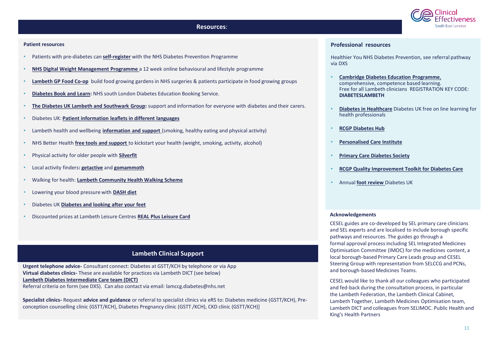#### **Resources**:

#### **Patient resources**

- Patients with pre-diabetes can **[self-register](https://preventing-diabetes.co.uk/know-your-risk-dtc/register/)** with the NHS Diabetes Prevention Programme
- **[NHS Digital Weight Management Programme](https://www.england.nhs.uk/digital-weight-management/)** a 12 week online behavioural and lifestyle programme
- **[Lambeth GP Food Co-op](http://lambeth.gpfoodcoop.org.uk/)** build food growing gardens in NHS surgeries & patients participate in food growing groups
- **[Diabetes Book and Learn:](https://diabetesbooking.co.uk/)** NHS south London Diabetes Education Booking Service.
- **[The Diabetes UK Lambeth and Southwark Group:](https://lambeth-and-southwark.diabetesukgroup.org/)** support and information for everyone with diabetes and their carers.
- Diabetes UK: **[Patient information leaflets in different languages](https://www.diabetes.org.uk/diabetes-the-basics/information-in-different-languages)**
- Lambeth health and wellbeing **[information and support](https://beta.lambeth.gov.uk/adult-social-care-and-health/health-and-wellbeing)** (smoking, healthy eating and physical activity)
- NHS Better Health **[free tools and support](https://www.nhs.uk/better-health/)** to kickstart your health (weight, smoking, activity, alcohol)
- Physical activity for older people with **[Silverfit](https://www.silverfit.org.uk/)**
- Local activity finders**: [getactive](https://getactive.activityfinder.net/)** and **[gomammoth](https://www.gomammoth.co.uk/)**
- Walking for health: **[Lambeth Community Health Walking Scheme](https://www.walkingforhealth.org.uk/walkfinder/lambeth-community-health-walking-scheme)**
- Lowering your blood pressure with **[DASH diet](https://www.nhlbi.nih.gov/files/docs/public/heart/new_dash.pdf)**
- Diabetes UK **[Diabetes and looking after your feet](https://cdn.shopify.com/s/files/1/1922/6045/files/Diabetes_and_looking_after_your_feet_for_web_6ec78309-b1c1-471e-be15-99184b252dcb.pdf)**
- Discounted prices at Lambeth Leisure Centres **[REAL Plus Leisure Card](https://beta.lambeth.gov.uk/sports-and-leisure/leisure-and-sports-centres/real-plus-leisure-card)**

### **Lambeth Clinical Support**

**Urgent telephone advice-** Consultant connect: Diabetes at GSTT/KCH by telephone or via App **Virtual diabetes clinics-** These are available for practices via Lambeth DICT (see below) **[Lambeth Diabetes Intermediate Care team \(DICT\)](https://www.lambethdiabetes.nhs.uk/)**

Referral criteria on form (see DXS). Can also contact via email: lamccg.diabetes@nhs.net

**Specialist clinics-** Request **advice and guidance** or referral to specialist clinics via eRS to: Diabetes medicine (GSTT/KCH), Preconception counselling clinic (GSTT/KCH), Diabetes Pregnancy clinic (GSTT /KCH), CKD clinic (GSTT/KCH)]

#### **Professional resources**

Healthier You NHS Diabetes Prevention, see referral pathway via DXS

- **[Cambridge Diabetes Education Programme](http://www.cdep.org.uk/)**, comprehensive, competence based learning. Free for all Lambeth clinicians REGISTRATION KEY CODE: **DIABETESLAMBETH**
- **[Diabetes in Healthcare](https://www.diabetes.org.uk/Professionals/Training--competencies/Diabetes-in-Healthcare)** Diabetes UK free on line learning for health professionals
- **[RCGP Diabetes Hub](https://elearning.rcgp.org.uk/mod/page/view.php?id=10179)**
- **[Personalised Care Institute](https://www.personalisedcareinstitute.org.uk/)**
- **[Primary Care Diabetes Society](https://www.pcdsociety.org/)**
- **[RCGP Quality Improvement Toolkit for Diabetes Care](http://www.rcgp.org.uk/clinical-and-research/resources/toolkits/quality-improvement-toolkit-for-diabetes-care.aspx)**
- Annual **[foot review](https://cdn.shopify.com/s/files/1/1922/6045/files/Diabetes_and_looking_after_your_feet_for_web_6ec78309-b1c1-471e-be15-99184b252dcb.pdf)** Diabetes UK

#### **Acknowledgements**

CESEL guides are co-developed by SEL primary care clinicians and SEL experts and are localised to include borough specific pathways and resources. The guides go through a formal approval process including SEL Integrated Medicines Optimisation Committee (IMOC) for the medicines content, a local borough-based Primary Care Leads group and CESEL Steering Group with representation from SELCCG and PCNs, and borough-based Medicines Teams.

CESEL would like to thank all our colleagues who participated and fed-back during the consultation process, in particular the Lambeth Federation, the Lambeth Clinical Cabinet, Lambeth Together, Lambeth Medicines Optimisation team, Lambeth DICT and colleagues from SELIMOC. Public Health and King's Health Partners

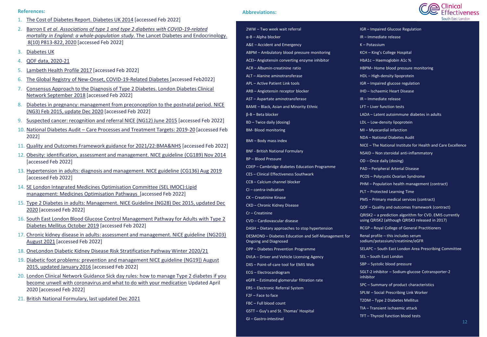- 1. [The Cost of Diabetes Report. Diabetes UK 2014](https://www.diabetes.org.uk/resources-s3/2017-11/diabetes%20uk%20cost%20of%20diabetes%20report.pdf) [accessed Feb 2022]
- 2. Barron E *et al*. *[Associations of type 1 and type 2 diabetes with COVID-19-related](https://www.thelancet.com/journals/landia/article/PIIS2213-8587(20)30272-2/fulltext)  mortality in England: a whole-population study*. The Lancet Diabetes and Endocrinology. 8(10) P813-822, 2020 [accessed Feb 2022]
- 3. [Diabetes UK](https://www.diabetes.org.uk/)
- 4. [QOF data, 2020-21](https://app.powerbi.com/view?r=eyJrIjoiMzhjYmE3YjEtMDJjNS00MTBhLTllYWUtZTE1MjE4ODMxNzU1IiwidCI6IjUwZjYwNzFmLWJiZmUtNDAxYS04ODAzLTY3Mzc0OGU2MjllMiIsImMiOjh9)
- 5. [Lambeth Health Profile 2017](https://beta.lambeth.gov.uk/sites/default/files/2021-06/LambethHealthProfile2017-accessible.pdf) [accessed Feb 2022]
- 6. [The Global Registry of New-Onset, COVID-19-Related Diabetes](https://covidiab.e-dendrite.com/introduction.html) [accessed Feb2022]
- 7. [Consensus Approach to the Diagnosis of Type 2 Diabetes. London Diabetes Clinical](https://www.england.nhs.uk/london/wp-content/uploads/sites/8/2019/07/dia-consensus-type2-27092018-FINAL.pdf)  Network September 2018 [accessed Feb 2022]
- 8. [Diabetes in pregnancy: management from preconception to the postnatal period. NICE](https://www.nice.org.uk/guidance/ng3/resources/diabetes-in-pregnancy-management-from-preconception-to-the-postnatal-period-pdf-51038446021)  (NG3) Feb 2015, update Dec 2020 [accessed Feb 2022]
- 9. [Suspected cancer: recognition and referral NICE \(NG12\) June 2015](https://www.nice.org.uk/guidance/ng12/resources/suspected-cancer-recognition-and-referral-pdf-1837268071621) [accessed Feb 2022]
- 10. National Diabetes Audit [Care Processes and Treatment Targets: 2019-20](https://digital.nhs.uk/data-and-information/publications/statistical/national-diabetes-audit/report-1-care-processes-and-treatment-targets-2019---20) [accessed Feb 2022]
- 11. [Quality and Outcomes Framework guidance for 2021/22:BMA&NHS](https://www.england.nhs.uk/wp-content/uploads/2021/03/B0456-update-on-quality-outcomes-framework-changes-for-21-22-.pdf) [accessed Feb 2022]
- 12. [Obesity: identification, assessment and management. NICE guideline \(CG189\) Nov 2014](https://www.nice.org.uk/guidance/cg189/resources/obesity-identification-assessment-and-management-pdf-35109821097925) [accessed Feb 2022]
- 13. [Hypertension in adults: diagnosis and management. NICE guideline \(CG136\) Aug 2019](https://www.nice.org.uk/guidance/ng136/resources/hypertension-in-adults-diagnosis-and-management-pdf-66141722710213) [accessed Feb 2022]
- 14. [SE London Integrated Medicines Optimisation Committee \(SEL IMOC\):Lipid](https://selondonccg.nhs.uk/wp-content/uploads/dlm_uploads/2021/09/Lipids-management-pathways-for-South-East-London-FINAL-September-2021.pdf)  management: Medicines Optimisation Pathways [accessed Feb 2022]
- 15. [Type 2 Diabetes in adults: Management. NICE Guideline \(NG28\) Dec 2015, updated Dec](https://www.nice.org.uk/guidance/ng17/resources/type-1-diabetes-in-adults-diagnosis-and-management-pdf-1837276469701)  2020 [accessed Feb 2022]
- 16. [South East London Blood Glucose Control Management Pathway for Adults with Type 2](https://selondonccg.nhs.uk/wp-content/uploads/dlm_uploads/2021/09/Blood-glucose-control-pathway-type-2-Oct-2019-FINAL.pdf?UNLID=868226544202110191078)  Diabetes Mellitus October 2019 [accessed Feb 2022]
- 17. [Chronic kidney disease in adults: assessment and management. NICE guideline \(NG203\)](https://www.nice.org.uk/guidance/ng203/resources/chronic-kidney-disease-assessment-and-management-pdf-66143713055173)  August 2021 [accessed Feb 2022]
- 18. [OneLondon Diabetic Kidney Disease Risk Stratification Pathway Winter 2020/21](https://view.officeapps.live.com/op/view.aspx?src=https%3A%2F%2Fselondonccg.nhs.uk%2Fwp-content%2Fuploads%2F2021%2F01%2FDiabetic-Kidney-Disease-Stratification_FINAL.docx&wdOrigin=BROWSELINK)
- 19. [Diabetic foot problems: prevention and management NICE guideline \(NG19\]\)](https://www.nice.org.uk/guidance/ng19/resources/diabetic-foot-problems-prevention-and-management-pdf-1837279828933) August 2015, updated January 2016 [accessed Feb 2022]
- 20. [London Clinical Network Guidance Sick day rules: how to manage Type 2 diabetes if you](https://www.england.nhs.uk/london/wp-content/uploads/sites/8/2020/04/3.-Covid-19-Type-2-Sick-Day-Rules-Crib-Sheet-06042020.pdf)  become unwell with coronavirus and what to do with your medication Updated April 2020 [accessed Feb 2022]
- 21. [British National Formulary, last updated Dec 2021](https://bnf.nice.org.uk/)

#### **References: Abbreviations:**